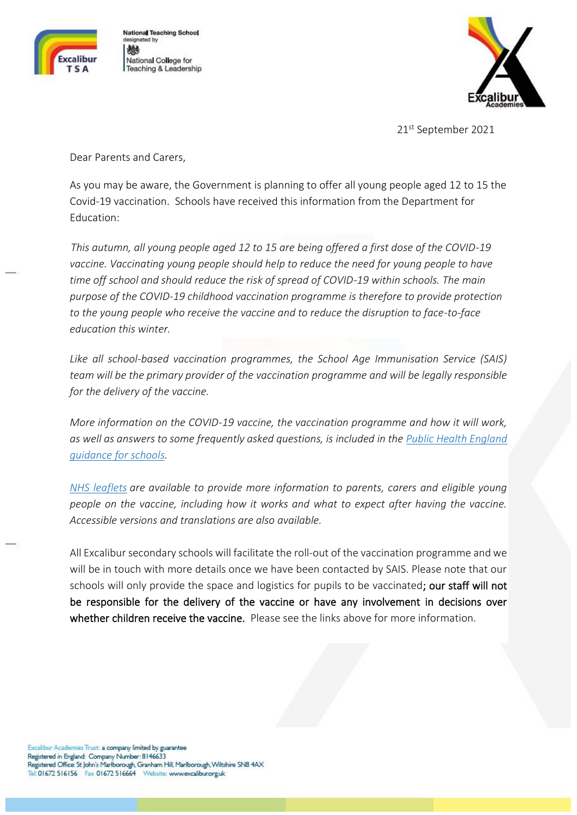

**National Teaching School** designated by 植 National College for Teaching & Leadership



21<sup>st</sup> September 2021

Dear Parents and Carers,

As you may be aware, the Government is planning to offer all young people aged 12 to 15 the Covid-19 vaccination. Schools have received this information from the Department for Education:

 *This autumn, all young people aged 12 to 15 are being offered a first dose of the COVID-19 vaccine. Vaccinating young people should help to reduce the need for young people to have time off school and should reduce the risk of spread of COVID-19 within schools. The main purpose of the COVID-19 childhood vaccination programme is therefore to provide protection to the young people who receive the vaccine and to reduce the disruption to face-to-face education this winter.*

*Like all school-based vaccination programmes, the School Age Immunisation Service (SAIS) team will be the primary provider of the vaccination programme and will be legally responsible for the delivery of the vaccine.*

*More information on the COVID-19 vaccine, the vaccination programme and how it will work, as well as answers to some frequently asked questions, is included in the Public Health [England](https://www.gov.uk/government/publications/covid-19-vaccination-resources-for-schools/covid-19-vaccination-programme-for-children-and-young-people-guidance-for-schools) [guidance](https://www.gov.uk/government/publications/covid-19-vaccination-resources-for-schools/covid-19-vaccination-programme-for-children-and-young-people-guidance-for-schools) for schools.*

*NHS [leaflets](https://www.gov.uk/government/publications/covid-19-vaccination-resources-for-children-and-young-people) are available to provide more information to parents, carers and eligible young people on the vaccine, including how it works and what to expect after having the vaccine. Accessible versions and translations are also available.*

All Excalibur secondary schools will facilitate the roll-out of the vaccination programme and we will be in touch with more details once we have been contacted by SAIS. Please note that our schools will only provide the space and logistics for pupils to be vaccinated; our staff will not be responsible for the delivery of the vaccine or have any involvement in decisions over whether children receive the vaccine. Please see the links above for more information.